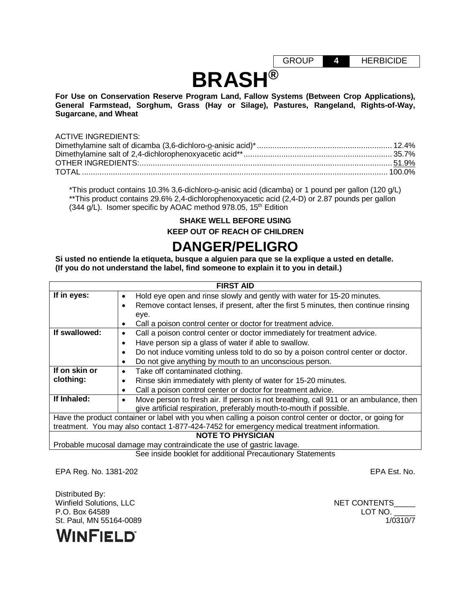GROUP **4** HERBICIDE

# **BRASH®**

**For Use on Conservation Reserve Program Land, Fallow Systems (Between Crop Applications), General Farmstead, Sorghum, Grass (Hay or Silage), Pastures, Rangeland, Rights-of-Way, Sugarcane, and Wheat**

#### ACTIVE INGREDIENTS:

\*This product contains 10.3% 3,6-dichloro-o-anisic acid (dicamba) or 1 pound per gallon (120 g/L) \*\*This product contains 29.6% 2,4-dichlorophenoxyacetic acid (2,4-D) or 2.87 pounds per gallon (344 g/L). Isomer specific by AOAC method 978.05, 15<sup>th</sup> Edition

## **SHAKE WELL BEFORE USING KEEP OUT OF REACH OF CHILDREN**

## **DANGER/PELIGRO**

**Si usted no entiende la etiqueta, busque a alguien para que se la explique a usted en detalle. (If you do not understand the label, find someone to explain it to you in detail.)**

|                                                                                             | <b>FIRST AID</b>                                                                                          |  |  |  |
|---------------------------------------------------------------------------------------------|-----------------------------------------------------------------------------------------------------------|--|--|--|
| If in eyes:                                                                                 | Hold eye open and rinse slowly and gently with water for 15-20 minutes.<br>٠                              |  |  |  |
|                                                                                             | Remove contact lenses, if present, after the first 5 minutes, then continue rinsing                       |  |  |  |
|                                                                                             | eye.                                                                                                      |  |  |  |
|                                                                                             | Call a poison control center or doctor for treatment advice.                                              |  |  |  |
| If swallowed:                                                                               | Call a poison control center or doctor immediately for treatment advice.                                  |  |  |  |
|                                                                                             | Have person sip a glass of water if able to swallow.                                                      |  |  |  |
|                                                                                             | Do not induce vomiting unless told to do so by a poison control center or doctor.                         |  |  |  |
|                                                                                             | Do not give anything by mouth to an unconscious person.<br>٠                                              |  |  |  |
| If on skin or                                                                               | Take off contaminated clothing.<br>٠                                                                      |  |  |  |
| clothing:                                                                                   | Rinse skin immediately with plenty of water for 15-20 minutes.                                            |  |  |  |
|                                                                                             | Call a poison control center or doctor for treatment advice.                                              |  |  |  |
| If Inhaled:                                                                                 | Move person to fresh air. If person is not breathing, call 911 or an ambulance, then                      |  |  |  |
|                                                                                             | give artificial respiration, preferably mouth-to-mouth if possible.                                       |  |  |  |
|                                                                                             | Have the product container or label with you when calling a poison control center or doctor, or going for |  |  |  |
| treatment. You may also contact 1-877-424-7452 for emergency medical treatment information. |                                                                                                           |  |  |  |
| <b>NOTE TO PHYSICIAN</b>                                                                    |                                                                                                           |  |  |  |
| Probable mucosal damage may contraindicate the use of gastric lavage.                       |                                                                                                           |  |  |  |

See inside booklet for additional Precautionary Statements

EPA Reg. No. 1381-202 EPA Est. No.

Distributed By: Winfield Solutions, LLC NET CONTENTS P.O. Box 64589 LOT NO. \_\_\_\_\_ St. Paul, MN 55164-0089

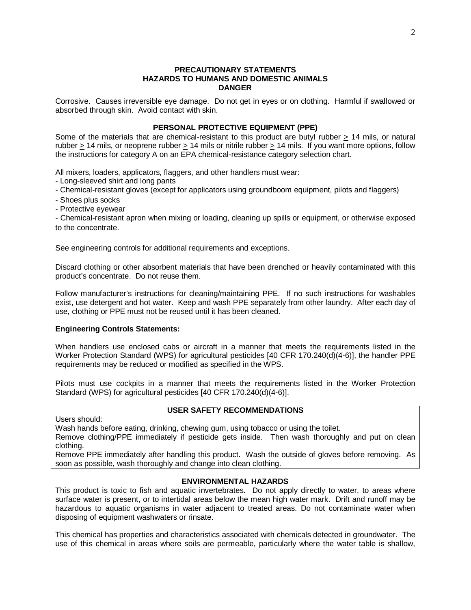#### **PRECAUTIONARY STATEMENTS HAZARDS TO HUMANS AND DOMESTIC ANIMALS DANGER**

Corrosive. Causes irreversible eye damage. Do not get in eyes or on clothing. Harmful if swallowed or absorbed through skin. Avoid contact with skin.

## **PERSONAL PROTECTIVE EQUIPMENT (PPE)**

Some of the materials that are chemical-resistant to this product are butyl rubber > 14 mils, or natural rubber > 14 mils, or neoprene rubber > 14 mils or nitrile rubber > 14 mils. If you want more options, follow the instructions for category A on an EPA chemical-resistance category selection chart.

All mixers, loaders, applicators, flaggers, and other handlers must wear:

- Long-sleeved shirt and long pants
- Chemical-resistant gloves (except for applicators using groundboom equipment, pilots and flaggers)
- Shoes plus socks
- Protective eyewear

- Chemical-resistant apron when mixing or loading, cleaning up spills or equipment, or otherwise exposed to the concentrate.

See engineering controls for additional requirements and exceptions.

Discard clothing or other absorbent materials that have been drenched or heavily contaminated with this product's concentrate. Do not reuse them.

Follow manufacturer's instructions for cleaning/maintaining PPE. If no such instructions for washables exist, use detergent and hot water. Keep and wash PPE separately from other laundry. After each day of use, clothing or PPE must not be reused until it has been cleaned.

## **Engineering Controls Statements:**

When handlers use enclosed cabs or aircraft in a manner that meets the requirements listed in the Worker Protection Standard (WPS) for agricultural pesticides [40 CFR 170.240(d)(4-6)], the handler PPE requirements may be reduced or modified as specified in the WPS.

Pilots must use cockpits in a manner that meets the requirements listed in the Worker Protection Standard (WPS) for agricultural pesticides [40 CFR 170.240(d)(4-6)].

#### **USER SAFETY RECOMMENDATIONS**

Users should:

Wash hands before eating, drinking, chewing gum, using tobacco or using the toilet.

Remove clothing/PPE immediately if pesticide gets inside. Then wash thoroughly and put on clean clothing.

Remove PPE immediately after handling this product. Wash the outside of gloves before removing. As soon as possible, wash thoroughly and change into clean clothing.

## **ENVIRONMENTAL HAZARDS**

This product is toxic to fish and aquatic invertebrates. Do not apply directly to water, to areas where surface water is present, or to intertidal areas below the mean high water mark. Drift and runoff may be hazardous to aquatic organisms in water adjacent to treated areas. Do not contaminate water when disposing of equipment washwaters or rinsate.

This chemical has properties and characteristics associated with chemicals detected in groundwater. The use of this chemical in areas where soils are permeable, particularly where the water table is shallow,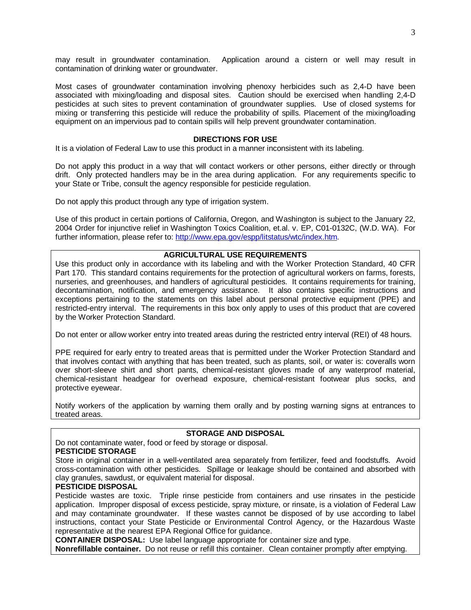may result in groundwater contamination. Application around a cistern or well may result in contamination of drinking water or groundwater.

Most cases of groundwater contamination involving phenoxy herbicides such as 2,4-D have been associated with mixing/loading and disposal sites. Caution should be exercised when handling 2,4-D pesticides at such sites to prevent contamination of groundwater supplies. Use of closed systems for mixing or transferring this pesticide will reduce the probability of spills. Placement of the mixing/loading equipment on an impervious pad to contain spills will help prevent groundwater contamination.

## **DIRECTIONS FOR USE**

It is a violation of Federal Law to use this product in a manner inconsistent with its labeling.

Do not apply this product in a way that will contact workers or other persons, either directly or through drift. Only protected handlers may be in the area during application. For any requirements specific to your State or Tribe, consult the agency responsible for pesticide regulation.

Do not apply this product through any type of irrigation system.

Use of this product in certain portions of California, Oregon, and Washington is subject to the January 22, 2004 Order for injunctive relief in Washington Toxics Coalition, et.al. v. EP, C01-0132C, (W.D. WA). For further information, please refer to: [http://www.epa.gov/espp/litstatus/wtc/index.htm.](http://www.epa.gov/espp/litstatus/wtc/index.htm)

## **AGRICULTURAL USE REQUIREMENTS**

Use this product only in accordance with its labeling and with the Worker Protection Standard, 40 CFR Part 170. This standard contains requirements for the protection of agricultural workers on farms, forests, nurseries, and greenhouses, and handlers of agricultural pesticides. It contains requirements for training, decontamination, notification, and emergency assistance. It also contains specific instructions and exceptions pertaining to the statements on this label about personal protective equipment (PPE) and restricted-entry interval. The requirements in this box only apply to uses of this product that are covered by the Worker Protection Standard.

Do not enter or allow worker entry into treated areas during the restricted entry interval (REI) of 48 hours.

PPE required for early entry to treated areas that is permitted under the Worker Protection Standard and that involves contact with anything that has been treated, such as plants, soil, or water is: coveralls worn over short-sleeve shirt and short pants, chemical-resistant gloves made of any waterproof material, chemical-resistant headgear for overhead exposure, chemical-resistant footwear plus socks, and protective eyewear.

Notify workers of the application by warning them orally and by posting warning signs at entrances to treated areas.

## **STORAGE AND DISPOSAL**

Do not contaminate water, food or feed by storage or disposal.

#### **PESTICIDE STORAGE**

Store in original container in a well-ventilated area separately from fertilizer, feed and foodstuffs. Avoid cross-contamination with other pesticides. Spillage or leakage should be contained and absorbed with clay granules, sawdust, or equivalent material for disposal.

## **PESTICIDE DISPOSAL**

Pesticide wastes are toxic. Triple rinse pesticide from containers and use rinsates in the pesticide application. Improper disposal of excess pesticide, spray mixture, or rinsate, is a violation of Federal Law and may contaminate groundwater. If these wastes cannot be disposed of by use according to label instructions, contact your State Pesticide or Environmental Control Agency, or the Hazardous Waste representative at the nearest EPA Regional Office for guidance.

**CONTAINER DISPOSAL:** Use label language appropriate for container size and type.

**Nonrefillable container.** Do not reuse or refill this container. Clean container promptly after emptying.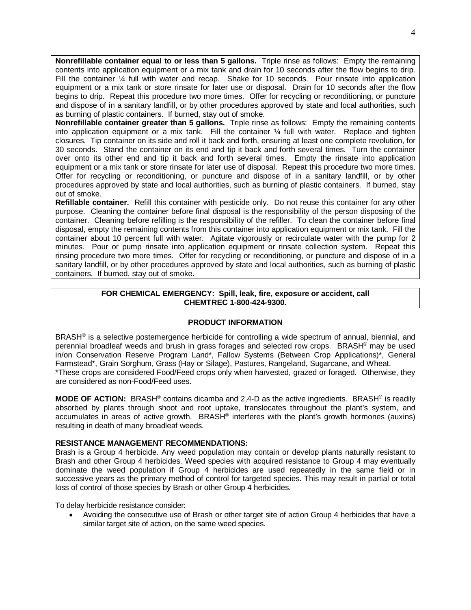**Nonrefillable container equal to or less than 5 gallons.** Triple rinse as follows: Empty the remaining contents into application equipment or a mix tank and drain for 10 seconds after the flow begins to drip. Fill the container 1/4 full with water and recap. Shake for 10 seconds. Pour rinsate into application equipment or a mix tank or store rinsate for later use or disposal. Drain for 10 seconds after the flow begins to drip. Repeat this procedure two more times. Offer for recycling or reconditioning, or puncture and dispose of in a sanitary landfill, or by other procedures approved by state and local authorities, such as burning of plastic containers. If burned, stay out of smoke.

**Nonrefillable container greater than 5 gallons.** Triple rinse as follows: Empty the remaining contents into application equipment or a mix tank. Fill the container  $\frac{1}{4}$  full with water. Replace and tighten closures. Tip container on its side and roll it back and forth, ensuring at least one complete revolution, for 30 seconds. Stand the container on its end and tip it back and forth several times. Turn the container over onto its other end and tip it back and forth several times. Empty the rinsate into application equipment or a mix tank or store rinsate for later use of disposal. Repeat this procedure two more times. Offer for recycling or reconditioning, or puncture and dispose of in a sanitary landfill, or by other procedures approved by state and local authorities, such as burning of plastic containers. If burned, stay out of smoke.

**Refillable container.** Refill this container with pesticide only. Do not reuse this container for any other purpose. Cleaning the container before final disposal is the responsibility of the person disposing of the container. Cleaning before refilling is the responsibility of the refiller. To clean the container before final disposal, empty the remaining contents from this container into application equipment or mix tank. Fill the container about 10 percent full with water. Agitate vigorously or recirculate water with the pump for 2 minutes. Pour or pump rinsate into application equipment or rinsate collection system. Repeat this rinsing procedure two more times. Offer for recycling or reconditioning, or puncture and dispose of in a sanitary landfill, or by other procedures approved by state and local authorities, such as burning of plastic containers. If burned, stay out of smoke.

## **FOR CHEMICAL EMERGENCY: Spill, leak, fire, exposure or accident, call CHEMTREC 1-800-424-9300.**

## **PRODUCT INFORMATION**

BRASH® is a selective postemergence herbicide for controlling a wide spectrum of annual, biennial, and perennial broadleaf weeds and brush in grass forages and selected row crops. BRASH® may be used in/on Conservation Reserve Program Land\*, Fallow Systems (Between Crop Applications)\*, General Farmstead\*, Grain Sorghum, Grass (Hay or Silage), Pastures, Rangeland, Sugarcane, and Wheat.

\*These crops are considered Food/Feed crops only when harvested, grazed or foraged. Otherwise, they are considered as non-Food/Feed uses.

**MODE OF ACTION:** BRASH® contains dicamba and 2,4-D as the active ingredients. BRASH® is readily absorbed by plants through shoot and root uptake, translocates throughout the plant's system, and accumulates in areas of active growth. BRASH® interferes with the plant's growth hormones (auxins) resulting in death of many broadleaf weeds.

## **RESISTANCE MANAGEMENT RECOMMENDATIONS:**

Brash is a Group 4 herbicide. Any weed population may contain or develop plants naturally resistant to Brash and other Group 4 herbicides. Weed species with acquired resistance to Group 4 may eventually dominate the weed population if Group 4 herbicides are used repeatedly in the same field or in successive years as the primary method of control for targeted species. This may result in partial or total loss of control of those species by Brash or other Group 4 herbicides.

To delay herbicide resistance consider:

• Avoiding the consecutive use of Brash or other target site of action Group 4 herbicides that have a similar target site of action, on the same weed species.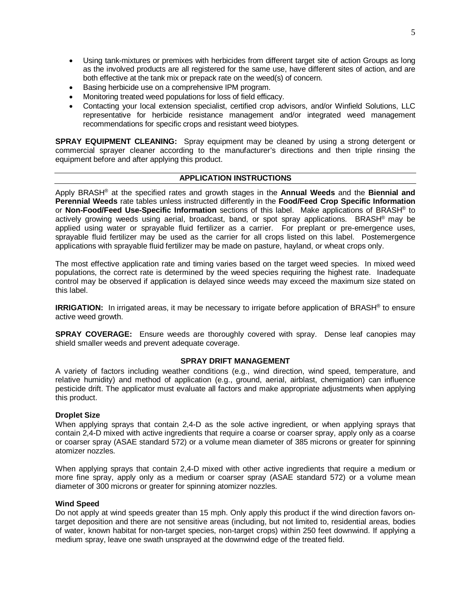- Using tank-mixtures or premixes with herbicides from different target site of action Groups as long as the involved products are all registered for the same use, have different sites of action, and are both effective at the tank mix or prepack rate on the weed(s) of concern.
- Basing herbicide use on a comprehensive IPM program.
- Monitoring treated weed populations for loss of field efficacy.
- Contacting your local extension specialist, certified crop advisors, and/or Winfield Solutions, LLC representative for herbicide resistance management and/or integrated weed management recommendations for specific crops and resistant weed biotypes.

**SPRAY EQUIPMENT CLEANING:** Spray equipment may be cleaned by using a strong detergent or commercial sprayer cleaner according to the manufacturer's directions and then triple rinsing the equipment before and after applying this product.

## **APPLICATION INSTRUCTIONS**

Apply BRASH® at the specified rates and growth stages in the **Annual Weeds** and the **Biennial and Perennial Weeds** rate tables unless instructed differently in the **Food/Feed Crop Specific Information** or **Non-Food/Feed Use-Specific Information** sections of this label. Make applications of BRASH® to actively growing weeds using aerial, broadcast, band, or spot spray applications. BRASH® may be applied using water or sprayable fluid fertilizer as a carrier. For preplant or pre-emergence uses, sprayable fluid fertilizer may be used as the carrier for all crops listed on this label. Postemergence applications with sprayable fluid fertilizer may be made on pasture, hayland, or wheat crops only.

The most effective application rate and timing varies based on the target weed species. In mixed weed populations, the correct rate is determined by the weed species requiring the highest rate. Inadequate control may be observed if application is delayed since weeds may exceed the maximum size stated on this label.

**IRRIGATION:** In irrigated areas, it may be necessary to irrigate before application of BRASH<sup>®</sup> to ensure active weed growth.

**SPRAY COVERAGE:** Ensure weeds are thoroughly covered with spray. Dense leaf canopies may shield smaller weeds and prevent adequate coverage.

## **SPRAY DRIFT MANAGEMENT**

A variety of factors including weather conditions (e.g., wind direction, wind speed, temperature, and relative humidity) and method of application (e.g., ground, aerial, airblast, chemigation) can influence pesticide drift. The applicator must evaluate all factors and make appropriate adjustments when applying this product.

## **Droplet Size**

When applying sprays that contain 2,4-D as the sole active ingredient, or when applying sprays that contain 2,4-D mixed with active ingredients that require a coarse or coarser spray, apply only as a coarse or coarser spray (ASAE standard 572) or a volume mean diameter of 385 microns or greater for spinning atomizer nozzles.

When applying sprays that contain 2,4-D mixed with other active ingredients that require a medium or more fine spray, apply only as a medium or coarser spray (ASAE standard 572) or a volume mean diameter of 300 microns or greater for spinning atomizer nozzles.

## **Wind Speed**

Do not apply at wind speeds greater than 15 mph. Only apply this product if the wind direction favors ontarget deposition and there are not sensitive areas (including, but not limited to, residential areas, bodies of water, known habitat for non-target species, non-target crops) within 250 feet downwind. If applying a medium spray, leave one swath unsprayed at the downwind edge of the treated field.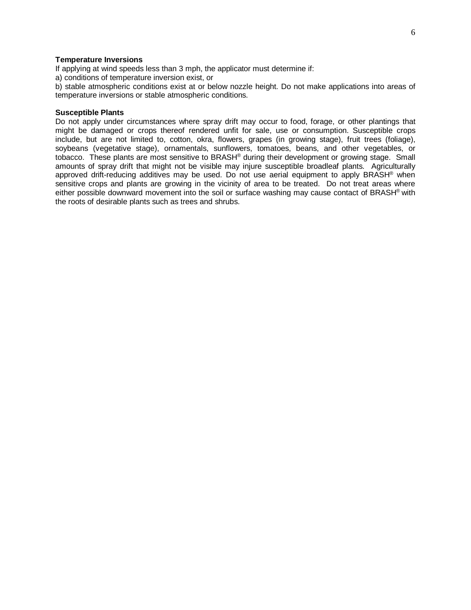#### **Temperature Inversions**

If applying at wind speeds less than 3 mph, the applicator must determine if:

a) conditions of temperature inversion exist, or

b) stable atmospheric conditions exist at or below nozzle height. Do not make applications into areas of temperature inversions or stable atmospheric conditions.

#### **Susceptible Plants**

Do not apply under circumstances where spray drift may occur to food, forage, or other plantings that might be damaged or crops thereof rendered unfit for sale, use or consumption. Susceptible crops include, but are not limited to, cotton, okra, flowers, grapes (in growing stage), fruit trees (foliage), soybeans (vegetative stage), ornamentals, sunflowers, tomatoes, beans, and other vegetables, or tobacco. These plants are most sensitive to BRASH<sup>®</sup> during their development or growing stage. Small amounts of spray drift that might not be visible may injure susceptible broadleaf plants. Agriculturally approved drift-reducing additives may be used. Do not use aerial equipment to apply BRASH<sup>®</sup> when sensitive crops and plants are growing in the vicinity of area to be treated. Do not treat areas where either possible downward movement into the soil or surface washing may cause contact of BRASH® with the roots of desirable plants such as trees and shrubs.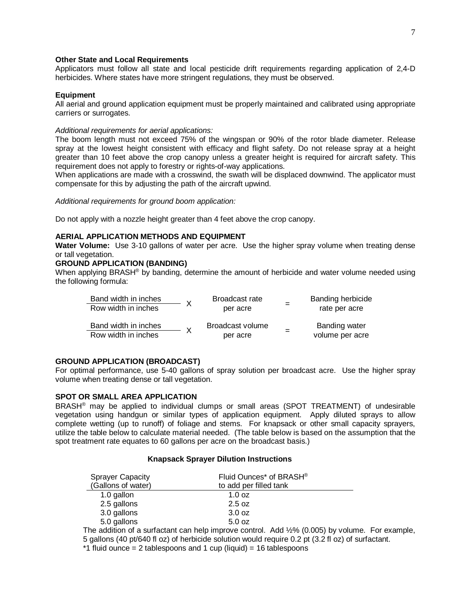#### **Other State and Local Requirements**

Applicators must follow all state and local pesticide drift requirements regarding application of 2,4-D herbicides. Where states have more stringent regulations, they must be observed.

#### **Equipment**

All aerial and ground application equipment must be properly maintained and calibrated using appropriate carriers or surrogates.

#### *Additional requirements for aerial applications:*

The boom length must not exceed 75% of the wingspan or 90% of the rotor blade diameter. Release spray at the lowest height consistent with efficacy and flight safety. Do not release spray at a height greater than 10 feet above the crop canopy unless a greater height is required for aircraft safety. This requirement does not apply to forestry or rights-of-way applications.

When applications are made with a crosswind, the swath will be displaced downwind. The applicator must compensate for this by adjusting the path of the aircraft upwind.

*Additional requirements for ground boom application:*

Do not apply with a nozzle height greater than 4 feet above the crop canopy.

## **AERIAL APPLICATION METHODS AND EQUIPMENT**

**Water Volume:** Use 3-10 gallons of water per acre. Use the higher spray volume when treating dense or tall vegetation.

## **GROUND APPLICATION (BANDING)**

When applying BRASH<sup>®</sup> by banding, determine the amount of herbicide and water volume needed using the following formula:

| Band width in inches |              | Broadcast rate   | Banding herbicide |
|----------------------|--------------|------------------|-------------------|
| Row width in inches  |              | per acre         | rate per acre     |
| Band width in inches | $\mathsf{X}$ | Broadcast volume | Banding water     |
| Row width in inches  |              | per acre         | volume per acre   |

## **GROUND APPLICATION (BROADCAST)**

For optimal performance, use 5-40 gallons of spray solution per broadcast acre. Use the higher spray volume when treating dense or tall vegetation.

#### **SPOT OR SMALL AREA APPLICATION**

BRASH® may be applied to individual clumps or small areas (SPOT TREATMENT) of undesirable vegetation using handgun or similar types of application equipment. Apply diluted sprays to allow complete wetting (up to runoff) of foliage and stems. For knapsack or other small capacity sprayers, utilize the table below to calculate material needed. (The table below is based on the assumption that the spot treatment rate equates to 60 gallons per acre on the broadcast basis.)

#### **Knapsack Sprayer Dilution Instructions**

| <b>Sprayer Capacity</b>                                             | Fluid Ounces* of BRASH® |
|---------------------------------------------------------------------|-------------------------|
| (Gallons of water)                                                  | to add per filled tank  |
| 1.0 gallon                                                          | $1.0 \text{ oz}$        |
| 2.5 gallons                                                         | 2.5 oz                  |
| 3.0 gallons                                                         | 3.0 oz                  |
| 5.0 gallons                                                         | 5.0 oz                  |
| $\cdots$<br>$\sim$ $\sim$ $\sim$ $\sim$ $\sim$ $\sim$ $\sim$ $\sim$ |                         |

The addition of a surfactant can help improve control. Add ½% (0.005) by volume. For example, 5 gallons (40 pt/640 fl oz) of herbicide solution would require 0.2 pt (3.2 fl oz) of surfactant.

 $*1$  fluid ounce = 2 tablespoons and 1 cup (liquid) = 16 tablespoons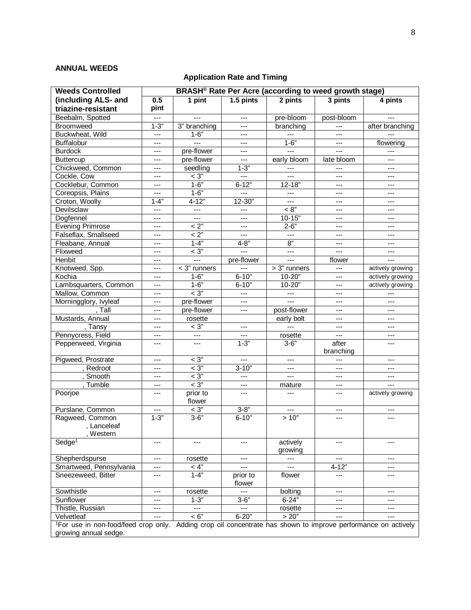## **ANNUAL WEEDS**

## **Application Rate and Timing**

| <b>Weeds Controlled</b>                                                                                                   | BRASH <sup>®</sup> Rate Per Acre (according to weed growth stage) |                          |                    |                     |            |                  |
|---------------------------------------------------------------------------------------------------------------------------|-------------------------------------------------------------------|--------------------------|--------------------|---------------------|------------|------------------|
| (including ALS- and                                                                                                       | 0.5                                                               | 1 pint                   | 1.5 pints          | 2 pints             | 3 pints    | 4 pints          |
| triazine-resistant                                                                                                        | pint                                                              |                          |                    |                     |            |                  |
| Beebalm, Spotted                                                                                                          | ---                                                               |                          | $---$              | pre-bloom           | post-bloom |                  |
| <b>Broomweed</b>                                                                                                          | $1 - 3"$                                                          | 3" branching             | ---                | branching           | ---        | after branching  |
| Buckwheat, Wild                                                                                                           | ---                                                               | $1 - 6"$                 | ---                |                     | ---        |                  |
| <b>Buffalobur</b>                                                                                                         | $---$                                                             | $\overline{a}$           | $---$              | $1 - 6"$            | $---$      | flowering        |
| <b>Burdock</b>                                                                                                            | $---$                                                             | pre-flower               | $---$              | $- - -$             | ---        | $---$            |
| Buttercup                                                                                                                 | ---                                                               | pre-flower               | $\qquad \qquad -$  | early bloom         | late bloom | ---              |
| Chickweed, Common                                                                                                         | ---                                                               | seedling                 | $1 - 3"$           | ---                 | ---        | ---              |
| Cockle, Cow                                                                                                               | ---                                                               | $\overline{<}3"$         | ---                | $---$               | ---        | ---              |
| Cocklebur, Common                                                                                                         | $---$                                                             | $1 - 6"$                 | $6 - 12"$          | $12 - 18"$          | ---        | $---$            |
| Coreopsis, Plains                                                                                                         | $---$                                                             | $1 - 6"$                 | $- - -$            | $---$               | ---        | $---$            |
| Croton, Woolly                                                                                                            | $1 - 4"$                                                          | $4 - 12"$                | 12-30"             | ---                 | ---        | ---              |
| Devilsclaw                                                                                                                | ---                                                               | $---$                    | $---$              | < 8"                | ---        | ---              |
| Dogfennel                                                                                                                 | ---                                                               | $---$                    | ---                | $10 - 15"$          | ---        | ---              |
| <b>Evening Primrose</b>                                                                                                   | $---$                                                             | $< 2$ "                  | $- - -$            | $2 - 6"$            | ---        | ---              |
| Falseflax, Smallseed                                                                                                      | ---                                                               | < 2"                     | $---$              | $---$               | ---        | ---              |
| Fleabane, Annual                                                                                                          | ---                                                               | $1 - 4$                  | $4 - 8"$           | 8"                  | ---        | ---              |
| Flixweed                                                                                                                  | ---                                                               | $<$ 3"                   | $\overline{a}$     | $\cdots$            | ---        | ---              |
| Henbit                                                                                                                    | $---$                                                             | $\overline{a}$           | pre-flower         | $\overline{a}$      | flower     | $---$            |
| Knotweed, Spp.                                                                                                            | $---$                                                             | $<$ 3" runners           |                    | > 3" runners        | ---        | actively growing |
| Kochia                                                                                                                    | ---                                                               | $1 - 6"$                 | $6 - 10"$          | 10-20"              | ---        | actively growing |
| Lambsquarters, Common                                                                                                     | ---                                                               | $1 - 6"$                 | $6 - 10"$          | $10 - 20"$          | ---        | actively growing |
| Mallow, Common                                                                                                            | ---                                                               | $<$ 3"                   | $---$              | $\qquad \qquad - -$ | ---        |                  |
| Morningglory, Ivyleaf                                                                                                     | $---$                                                             | pre-flower               | $-$                | $\overline{a}$      | ---        | $\overline{a}$   |
| , Tall                                                                                                                    | ---                                                               | pre-flower               | $---$              | post-flower         | ---        |                  |
| Mustards, Annual                                                                                                          | $---$                                                             | rosette                  |                    | early bolt          | ---        | ---              |
| , Tansy                                                                                                                   | ---                                                               | $\overline{<}3"$         | $---$              | $---$               | ---        | ---              |
| Pennycress, Field                                                                                                         | ---                                                               | $\hspace{0.05cm} \ldots$ | ---                | rosette             | ---        | ---              |
| Pepperweed, Virginia                                                                                                      | ---                                                               | $---$                    | $1 - 3"$           | $3 - 6"$            | after      | $---$            |
|                                                                                                                           |                                                                   |                          |                    |                     | branching  |                  |
| Pigweed, Prostrate                                                                                                        | ---                                                               | $< 3$ "                  | ---                | ---                 | ---        | $---$            |
| , Redroot                                                                                                                 | ---                                                               | $\overline{<}3"$         | $3 - 10"$          | ---                 | ---        | ---              |
| , Smooth                                                                                                                  | $---$                                                             | $<$ 3"                   | $---$              | $\cdots$            | ---        | ---              |
| Tumble                                                                                                                    | $---$                                                             | $<$ 3"                   | $---$              | mature              | ---        | $---$            |
| Poorjoe                                                                                                                   | ---                                                               | prior to                 | $---$              |                     | ---        | actively growing |
|                                                                                                                           |                                                                   | flower                   |                    |                     |            |                  |
| Purslane, Common                                                                                                          | ---                                                               | $< 3\ensuremath{''}$     | $3 - 8"$           | $\qquad \qquad -$   | ---        | ---              |
| Ragweed, Common                                                                                                           | $1 - 3"$                                                          | $3 - 6"$                 | $6 - 10"$          | >10"                |            | ---              |
| , Lanceleaf                                                                                                               |                                                                   |                          |                    |                     |            |                  |
| , Western                                                                                                                 |                                                                   |                          |                    |                     |            |                  |
| Sedge <sup>1</sup>                                                                                                        | ---                                                               | ---                      | $---$              | actively            | ---        | ---              |
|                                                                                                                           |                                                                   |                          |                    | growing             |            |                  |
| Shepherdspurse                                                                                                            | $---$                                                             | rosette                  | ---                | $---$               |            | ---              |
| Smartweed, Pennsylvania                                                                                                   | ---                                                               | < 4"                     | $---$              | $---$               | $4 - 12$   | ---              |
| Sneezeweed, Bitter                                                                                                        | ---                                                               | $1 - 4"$                 | prior to<br>flower | flower              | ---        | ---              |
| Sowthistle                                                                                                                | ---                                                               | rosette                  | ---                | bolting             | ---        | ---              |
| Sunflower                                                                                                                 | ---                                                               | $1 - 3"$                 | $3 - 6"$           | $6 - 24"$           | ---        | ---              |
| Thistle, Russian                                                                                                          | $---$                                                             | $---$                    | $---$              | rosette             | ---        | ---              |
| Velvetleaf                                                                                                                | ---                                                               | < 6"                     | $6 - 20"$          | > 20"               | ---        | $---$            |
| <sup>1</sup> For use in non-food/feed crop only. Adding crop oil concentrate has shown to improve performance on actively |                                                                   |                          |                    |                     |            |                  |
| growing annual sedge.                                                                                                     |                                                                   |                          |                    |                     |            |                  |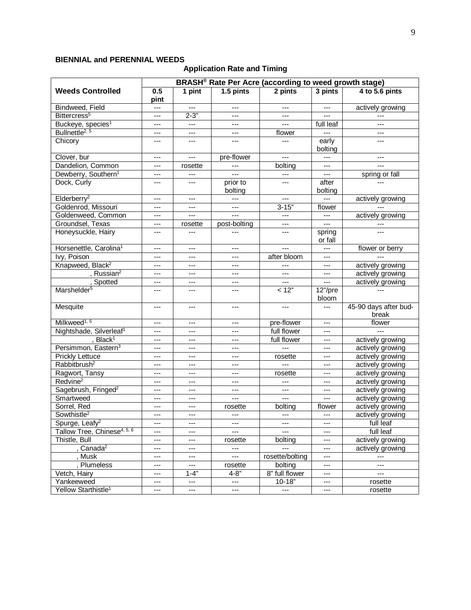## **BIENNIAL and PERENNIAL WEEDS**

## **Application Rate and Timing**

| BRASH <sup>®</sup> Rate Per Acre (according to weed growth stage) |             |          |                           |                        |                     |                                |
|-------------------------------------------------------------------|-------------|----------|---------------------------|------------------------|---------------------|--------------------------------|
| <b>Weeds Controlled</b>                                           | 0.5<br>pint | 1 pint   | $1.5$ pints               | 2 pints                | 3 pints             | 4 to 5.6 pints                 |
| Bindweed, Field                                                   | $---$       |          | $---$                     | $---$                  |                     | actively growing               |
| Bittercress <sup>5</sup>                                          | $---$       | $2 - 3"$ | ---                       |                        |                     |                                |
| Buckeye, species <sup>1</sup>                                     | $---$       |          | $---$                     | $---$                  | full leaf           | $---$                          |
| Bullnettle <sup>2, 5</sup>                                        | ---         | ---      | ---                       | flower                 |                     | ---                            |
| Chicory                                                           | ---         | ---      | ---                       |                        | early<br>bolting    | ---                            |
| Clover, bur                                                       | $---$       | ---      | pre-flower                | ---                    |                     | ---                            |
| Dandelion, Common                                                 | $---$       | rosette  |                           | bolting                | $---$               |                                |
| Dewberry, Southern <sup>1</sup>                                   | $---$       | $---$    | $---$                     | $---$                  | $---$               | spring or fall                 |
| Dock, Curly                                                       | ---         | ---      | prior to<br>bolting       | $---$                  | after<br>bolting    |                                |
| Elderberry <sup>2</sup>                                           | ---         | ---      | ---                       | $---$                  | $---$               | actively growing               |
| Goldenrod, Missouri                                               | ---         | ---      | $---$                     | $3 - 15"$              | flower              |                                |
| Goldenweed, Common                                                | $---$       | $---$    | $---$                     | $---$                  | $---$               | actively growing               |
| Groundsel, Texas                                                  | $---$       | rosette  | post-bolting              | ---                    | ---                 |                                |
| Honeysuckle, Hairy                                                | ---         | ---      | ---                       | $---$                  | spring<br>or fall   |                                |
| Horsenettle, Carolina <sup>1</sup>                                | ---         | ---      | ---                       | $---$                  | $---$               | flower or berry                |
| Ivy, Poison                                                       | $---$       | ---      | ---                       | after bloom            | $---$               |                                |
| Knapweed, Black <sup>2</sup>                                      | ---         | ---      | $---$                     | $\scriptstyle{\cdots}$ | $---$               | actively growing               |
| , Russian <sup>2</sup>                                            | ---         | ---      | ---                       | $---$                  | ---                 | actively growing               |
| , Spotted                                                         | ---         | ---      | ---                       | ---                    | $---$               | actively growing               |
| Marshelder <sup>5</sup>                                           | $---$       | ---      | $---$                     | < 12"                  | $12$ "/pre<br>bloom |                                |
| Mesquite                                                          | $---$       | $---$    | ---                       | $---$                  | $---$               | 45-90 days after bud-<br>break |
| Milkweed <sup>1, 5</sup>                                          | $---$       | ---      | $---$                     | pre-flower             | $---$               | flower                         |
| Nightshade, Silverleaf <sup>1</sup>                               | $---$       | ---      | $---$                     | full flower            | $---$               |                                |
| , Black <sup>1</sup>                                              | $---$       | ---      | ---                       | full flower            | ---                 | actively growing               |
| Persimmon, Eastern <sup>3</sup>                                   | ---         | ---      | ---                       | $---$                  |                     | actively growing               |
| <b>Prickly Lettuce</b>                                            | ---         | ---      | ---                       | rosette                | $---$               | actively growing               |
| Rabbitbrush <sup>2</sup>                                          | $---$       | $---$    | $---$                     |                        | $---$               | actively growing               |
| Ragwort, Tansy                                                    | ---         | ---      | ---                       | rosette                | ---                 | actively growing               |
| Redvine <sup>2</sup>                                              | $---$       | ---      | ---                       | ---                    | ---                 | actively growing               |
| Sagebrush, Fringed <sup>2</sup>                                   | $---$       | ---      | $---$                     | $---$                  | ---                 | actively growing               |
| Smartweed                                                         | $---$       | $---$    | $---$                     | $---$                  | $---$               | actively growing               |
| Sorrel, Red                                                       | ---         |          | rosette                   | bolting                | flower              | actively growing               |
| Sowthistle <sup>2</sup>                                           | $---$       | ---      | ---                       | $---$                  | $---$               | actively growing               |
| Spurge, Leafy <sup>2</sup>                                        | $---$       | $---$    | $\qquad \qquad -$         | ---                    | $---$               | full leaf                      |
| Tallow Tree, Chinese <sup>4, 5, 6</sup>                           | ---         | ---      | ---                       |                        | ---                 | full leaf                      |
| Thistle, Bull                                                     | ---         | ---      | rosette                   | bolting                |                     | actively growing               |
| , Canada <sup>2</sup>                                             | ---         | ---      | $\qquad \qquad -\qquad -$ |                        | ---                 | actively growing               |
| , Musk                                                            | ---         | ---      | ---                       | rosette/bolting        | ---                 | $---$                          |
| , Plumeless                                                       | $---$       | ---      | rosette                   | bolting                | ---                 | $\hspace{0.05cm} \ldots$       |
| Vetch, Hairy                                                      | ---         | $1 - 4"$ | $4 - 8"$                  | 8" full flower         | ---                 | $\qquad \qquad -\qquad$        |
| Yankeeweed                                                        | ---         | ---      | $\hspace{0.05cm} \ldots$  | $10 - 18"$             | ---                 | rosette                        |
| Yellow Starthistle <sup>1</sup>                                   | ---         | ---      | ---                       | ---                    | ---                 | rosette                        |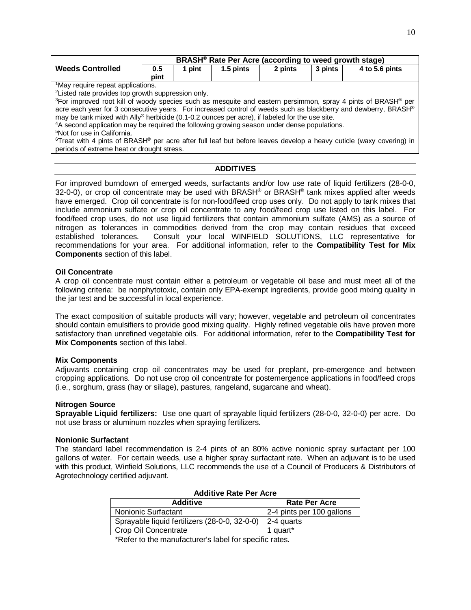|                                                                                                                                             | BRASH <sup>®</sup> Rate Per Acre (according to weed growth stage) |        |           |         |         |                |
|---------------------------------------------------------------------------------------------------------------------------------------------|-------------------------------------------------------------------|--------|-----------|---------|---------|----------------|
| <b>Weeds Controlled</b>                                                                                                                     | 0.5                                                               | 1 pint | 1.5 pints | 2 pints | 3 pints | 4 to 5.6 pints |
|                                                                                                                                             | pint                                                              |        |           |         |         |                |
| <sup>1</sup> May require repeat applications.                                                                                               |                                                                   |        |           |         |         |                |
| <sup>2</sup> Listed rate provides top growth suppression only.                                                                              |                                                                   |        |           |         |         |                |
| <sup>3</sup> For improved root kill of woody species such as mesquite and eastern persimmon, spray 4 pints of BRASH <sup>®</sup> per        |                                                                   |        |           |         |         |                |
| acre each year for 3 consecutive years. For increased control of weeds such as blackberry and dewberry, BRASH®                              |                                                                   |        |           |         |         |                |
| may be tank mixed with Ally® herbicide (0.1-0.2 ounces per acre), if labeled for the use site.                                              |                                                                   |        |           |         |         |                |
| <sup>4</sup> A second application may be required the following growing season under dense populations.                                     |                                                                   |        |           |         |         |                |
| <sup>5</sup> Not for use in California.                                                                                                     |                                                                   |        |           |         |         |                |
| <sup>6</sup> Treat with 4 pints of BRASH <sup>®</sup> per acre after full leaf but before leaves develop a heavy cuticle (waxy covering) in |                                                                   |        |           |         |         |                |
| periods of extreme heat or drought stress.                                                                                                  |                                                                   |        |           |         |         |                |
|                                                                                                                                             |                                                                   |        |           |         |         |                |

## **ADDITIVES**

For improved burndown of emerged weeds, surfactants and/or low use rate of liquid fertilizers (28-0-0, 32-0-0), or crop oil concentrate may be used with BRASH® or BRASH® tank mixes applied after weeds have emerged. Crop oil concentrate is for non-food/feed crop uses only. Do not apply to tank mixes that include ammonium sulfate or crop oil concentrate to any food/feed crop use listed on this label. For food/feed crop uses, do not use liquid fertilizers that contain ammonium sulfate (AMS) as a source of nitrogen as tolerances in commodities derived from the crop may contain residues that exceed established tolerances. Consult your local WINFIELD SOLUTIONS, LLC representative for recommendations for your area. For additional information, refer to the **Compatibility Test for Mix Components** section of this label.

## **Oil Concentrate**

A crop oil concentrate must contain either a petroleum or vegetable oil base and must meet all of the following criteria: be nonphytotoxic, contain only EPA-exempt ingredients, provide good mixing quality in the jar test and be successful in local experience.

The exact composition of suitable products will vary; however, vegetable and petroleum oil concentrates should contain emulsifiers to provide good mixing quality. Highly refined vegetable oils have proven more satisfactory than unrefined vegetable oils. For additional information, refer to the **Compatibility Test for Mix Components** section of this label.

## **Mix Components**

Adjuvants containing crop oil concentrates may be used for preplant, pre-emergence and between cropping applications. Do not use crop oil concentrate for postemergence applications in food/feed crops (i.e., sorghum, grass (hay or silage), pastures, rangeland, sugarcane and wheat).

#### **Nitrogen Source**

**Sprayable Liquid fertilizers:** Use one quart of sprayable liquid fertilizers (28-0-0, 32-0-0) per acre. Do not use brass or aluminum nozzles when spraying fertilizers.

#### **Nonionic Surfactant**

The standard label recommendation is 2-4 pints of an 80% active nonionic spray surfactant per 100 gallons of water. For certain weeds, use a higher spray surfactant rate. When an adjuvant is to be used with this product, Winfield Solutions, LLC recommends the use of a Council of Producers & Distributors of Agrotechnology certified adjuvant.

| AUVILIVE INGLET EL AGIE                       |                           |  |  |  |
|-----------------------------------------------|---------------------------|--|--|--|
| <b>Additive</b>                               | <b>Rate Per Acre</b>      |  |  |  |
| <b>Nonionic Surfactant</b>                    | 2-4 pints per 100 gallons |  |  |  |
| Sprayable liquid fertilizers (28-0-0, 32-0-0) | 2-4 quarts                |  |  |  |
| Crop Oil Concentrate                          | 1 quart*                  |  |  |  |

## **Additive Rate Per Acre**

\*Refer to the manufacturer's label for specific rates.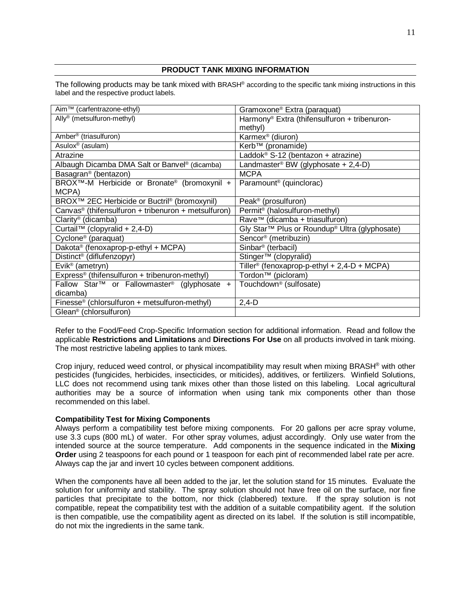## **PRODUCT TANK MIXING INFORMATION**

The following products may be tank mixed with BRASH® according to the specific tank mixing instructions in this label and the respective product labels.

| Aim™ (carfentrazone-ethyl)                                           | Gramoxone <sup>®</sup> Extra (paraquat)                  |
|----------------------------------------------------------------------|----------------------------------------------------------|
| Ally <sup>®</sup> (metsulfuron-methyl)                               | Harmony <sup>®</sup> Extra (thifensulfuron + tribenuron- |
|                                                                      | methyl)                                                  |
| Amber <sup>®</sup> (triasulfuron)                                    | Karmex <sup>®</sup> (diuron)                             |
| Asulox <sup>®</sup> (asulam)                                         | Kerb™ (pronamide)                                        |
| Atrazine                                                             | Laddok <sup>®</sup> S-12 (bentazon + atrazine)           |
| Albaugh Dicamba DMA Salt or Banvel <sup>®</sup> (dicamba)            | Landmaster <sup>®</sup> BW (glyphosate + 2,4-D)          |
| Basagran <sup>®</sup> (bentazon)                                     | <b>MCPA</b>                                              |
| BROX™-M Herbicide or Bronate® (bromoxynil +                          | Paramount <sup>®</sup> (quinclorac)                      |
| MCPA)                                                                |                                                          |
| BROX <sup>™</sup> 2EC Herbicide or Buctril <sup>®</sup> (bromoxynil) | Peak <sup>®</sup> (prosulfuron)                          |
| Canvas <sup>®</sup> (thifensulfuron + tribenuron + metsulfuron)      | Permit <sup>®</sup> (halosulfuron-methyl)                |
| Clarity <sup>®</sup> (dicamba)                                       | Rave™ (dicamba + triasulfuron)                           |
| Curtail <sup>™</sup> (clopyralid + 2,4-D)                            | Gly Star™ Plus or Roundup® Ultra (glyphosate)            |
| Cyclone <sup>®</sup> (paraquat)                                      | Sencor <sup>®</sup> (metribuzin)                         |
| Dakota® (fenoxaprop-p-ethyl + MCPA)                                  | Sinbar <sup>®</sup> (terbacil)                           |
| Distinct <sup>®</sup> (diflufenzopyr)                                | Stinger <sup>™</sup> (clopyralid)                        |
| Evik <sup>®</sup> (ametryn)                                          | Tiller <sup>®</sup> (fenoxaprop-p-ethyl + 2,4-D + MCPA)  |
| Express <sup>®</sup> (thifensulfuron + tribenuron-methyl)            | Tordon <sup>™</sup> (picloram)                           |
| Fallow Star <sup>TM</sup> or Fallowmaster <sup>®</sup> (glyphosate + | Touchdown <sup>®</sup> (sulfosate)                       |
| dicamba)                                                             |                                                          |
| Finesse® (chlorsulfuron + metsulfuron-methyl)                        | $2,4-D$                                                  |
| Glean <sup>®</sup> (chlorsulfuron)                                   |                                                          |

Refer to the Food/Feed Crop-Specific Information section for additional information. Read and follow the applicable **Restrictions and Limitations** and **Directions For Use** on all products involved in tank mixing. The most restrictive labeling applies to tank mixes.

Crop injury, reduced weed control, or physical incompatibility may result when mixing BRASH® with other pesticides (fungicides, herbicides, insecticides, or miticides), additives, or fertilizers. Winfield Solutions, LLC does not recommend using tank mixes other than those listed on this labeling. Local agricultural authorities may be a source of information when using tank mix components other than those recommended on this label.

## **Compatibility Test for Mixing Components**

Always perform a compatibility test before mixing components. For 20 gallons per acre spray volume, use 3.3 cups (800 mL) of water. For other spray volumes, adjust accordingly. Only use water from the intended source at the source temperature. Add components in the sequence indicated in the **Mixing Order** using 2 teaspoons for each pound or 1 teaspoon for each pint of recommended label rate per acre. Always cap the jar and invert 10 cycles between component additions.

When the components have all been added to the jar, let the solution stand for 15 minutes. Evaluate the solution for uniformity and stability. The spray solution should not have free oil on the surface, nor fine particles that precipitate to the bottom, nor thick (clabbered) texture. If the spray solution is not compatible, repeat the compatibility test with the addition of a suitable compatibility agent. If the solution is then compatible, use the compatibility agent as directed on its label. If the solution is still incompatible, do not mix the ingredients in the same tank.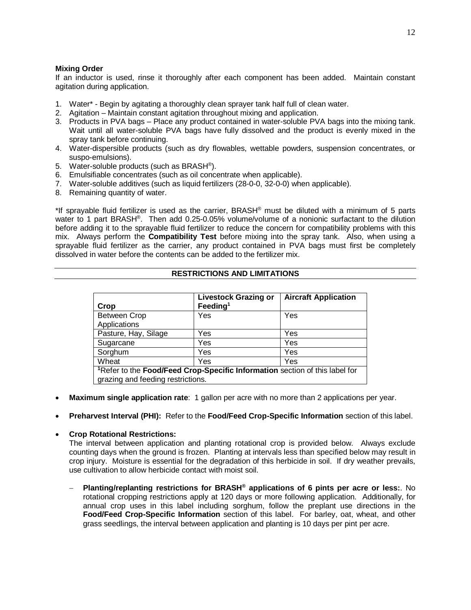## **Mixing Order**

If an inductor is used, rinse it thoroughly after each component has been added. Maintain constant agitation during application.

- 1. Water\* Begin by agitating a thoroughly clean sprayer tank half full of clean water.
- 2. Agitation Maintain constant agitation throughout mixing and application.
- 3. Products in PVA bags Place any product contained in water-soluble PVA bags into the mixing tank. Wait until all water-soluble PVA bags have fully dissolved and the product is evenly mixed in the spray tank before continuing.
- 4. Water-dispersible products (such as dry flowables, wettable powders, suspension concentrates, or suspo-emulsions).
- 5. Water-soluble products (such as BRASH®).
- 6. Emulsifiable concentrates (such as oil concentrate when applicable).
- 7. Water-soluble additives (such as liquid fertilizers (28-0-0, 32-0-0) when applicable).
- 8. Remaining quantity of water.

\*If sprayable fluid fertilizer is used as the carrier, BRASH<sup>®</sup> must be diluted with a minimum of 5 parts water to 1 part BRASH®. Then add 0.25-0.05% volume/volume of a nonionic surfactant to the dilution before adding it to the sprayable fluid fertilizer to reduce the concern for compatibility problems with this mix. Always perform the **Compatibility Test** before mixing into the spray tank. Also, when using a sprayable fluid fertilizer as the carrier, any product contained in PVA bags must first be completely dissolved in water before the contents can be added to the fertilizer mix.

## **RESTRICTIONS AND LIMITATIONS**

| Crop                                                                                    | <b>Livestock Grazing or</b><br>Feeding <sup>1</sup> | <b>Aircraft Application</b> |  |  |
|-----------------------------------------------------------------------------------------|-----------------------------------------------------|-----------------------------|--|--|
| <b>Between Crop</b>                                                                     | Yes                                                 | Yes                         |  |  |
| Applications                                                                            |                                                     |                             |  |  |
| Pasture, Hay, Silage                                                                    | Yes                                                 | Yes                         |  |  |
| Sugarcane                                                                               | Yes                                                 | Yes                         |  |  |
| Sorghum                                                                                 | Yes                                                 | Yes                         |  |  |
| Wheat                                                                                   | Yes                                                 | Yes                         |  |  |
| <sup>1</sup> Refer to the Food/Feed Crop-Specific Information section of this label for |                                                     |                             |  |  |
| grazing and feeding restrictions.                                                       |                                                     |                             |  |  |

- **Maximum single application rate**: 1 gallon per acre with no more than 2 applications per year.
- **Preharvest Interval (PHI):** Refer to the **Food/Feed Crop-Specific Information** section of this label.

## • **Crop Rotational Restrictions:**

The interval between application and planting rotational crop is provided below. Always exclude counting days when the ground is frozen. Planting at intervals less than specified below may result in crop injury. Moisture is essential for the degradation of this herbicide in soil. If dry weather prevails, use cultivation to allow herbicide contact with moist soil.

− **Planting/replanting restrictions for BRASH® applications of 6 pints per acre or less:**. No rotational cropping restrictions apply at 120 days or more following application. Additionally, for annual crop uses in this label including sorghum, follow the preplant use directions in the **Food/Feed Crop-Specific Information** section of this label. For barley, oat, wheat, and other grass seedlings, the interval between application and planting is 10 days per pint per acre.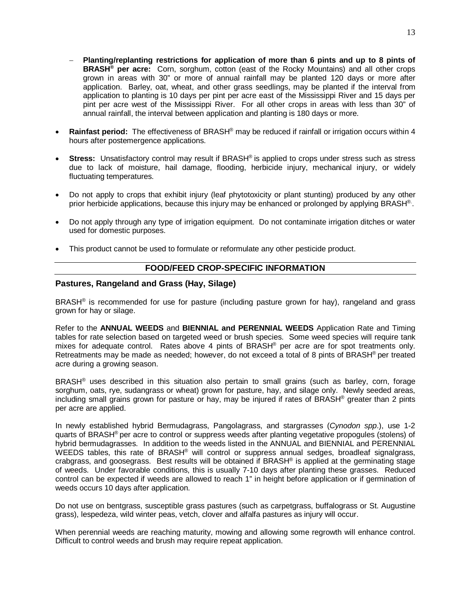- − **Planting/replanting restrictions for application of more than 6 pints and up to 8 pints of BRASH® per acre:** Corn, sorghum, cotton (east of the Rocky Mountains) and all other crops grown in areas with 30" or more of annual rainfall may be planted 120 days or more after application. Barley, oat, wheat, and other grass seedlings, may be planted if the interval from application to planting is 10 days per pint per acre east of the Mississippi River and 15 days per pint per acre west of the Mississippi River. For all other crops in areas with less than 30" of annual rainfall, the interval between application and planting is 180 days or more.
- **Rainfast period:** The effectiveness of BRASH® may be reduced if rainfall or irrigation occurs within 4 hours after postemergence applications.
- **Stress:** Unsatisfactory control may result if BRASH<sup>®</sup> is applied to crops under stress such as stress due to lack of moisture, hail damage, flooding, herbicide injury, mechanical injury, or widely fluctuating temperatures.
- Do not apply to crops that exhibit injury (leaf phytotoxicity or plant stunting) produced by any other prior herbicide applications, because this injury may be enhanced or prolonged by applying BRASH®.
- Do not apply through any type of irrigation equipment. Do not contaminate irrigation ditches or water used for domestic purposes.
- This product cannot be used to formulate or reformulate any other pesticide product.

## **FOOD/FEED CROP-SPECIFIC INFORMATION**

## **Pastures, Rangeland and Grass (Hay, Silage)**

BRASH® is recommended for use for pasture (including pasture grown for hay), rangeland and grass grown for hay or silage.

Refer to the **ANNUAL WEEDS** and **BIENNIAL and PERENNIAL WEEDS** Application Rate and Timing tables for rate selection based on targeted weed or brush species. Some weed species will require tank mixes for adequate control. Rates above 4 pints of BRASH® per acre are for spot treatments only. Retreatments may be made as needed; however, do not exceed a total of 8 pints of BRASH® per treated acre during a growing season.

BRASH® uses described in this situation also pertain to small grains (such as barley, corn, forage sorghum, oats, rye, sudangrass or wheat) grown for pasture, hay, and silage only. Newly seeded areas, including small grains grown for pasture or hay, may be injured if rates of BRASH® greater than 2 pints per acre are applied.

In newly established hybrid Bermudagrass, Pangolagrass, and stargrasses (*Cynodon spp*.), use 1-2 quarts of BRASH® per acre to control or suppress weeds after planting vegetative propogules (stolens) of hybrid bermudagrasses. In addition to the weeds listed in the ANNUAL and BIENNIAL and PERENNIAL WEEDS tables, this rate of BRASH® will control or suppress annual sedges, broadleaf signalgrass, crabgrass, and goosegrass. Best results will be obtained if BRASH® is applied at the germinating stage of weeds. Under favorable conditions, this is usually 7-10 days after planting these grasses. Reduced control can be expected if weeds are allowed to reach 1" in height before application or if germination of weeds occurs 10 days after application.

Do not use on bentgrass, susceptible grass pastures (such as carpetgrass, buffalograss or St. Augustine grass), lespedeza, wild winter peas, vetch, clover and alfalfa pastures as injury will occur.

When perennial weeds are reaching maturity, mowing and allowing some regrowth will enhance control. Difficult to control weeds and brush may require repeat application.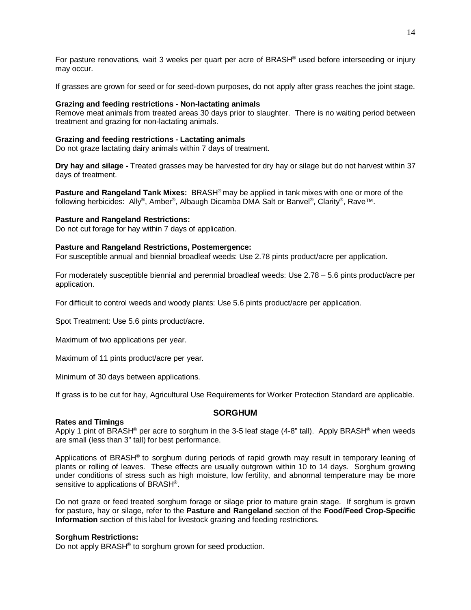For pasture renovations, wait 3 weeks per quart per acre of BRASH® used before interseeding or injury may occur.

If grasses are grown for seed or for seed-down purposes, do not apply after grass reaches the joint stage.

#### **Grazing and feeding restrictions - Non-lactating animals**

Remove meat animals from treated areas 30 days prior to slaughter. There is no waiting period between treatment and grazing for non-lactating animals.

#### **Grazing and feeding restrictions - Lactating animals**

Do not graze lactating dairy animals within 7 days of treatment.

**Dry hay and silage -** Treated grasses may be harvested for dry hay or silage but do not harvest within 37 days of treatment.

**Pasture and Rangeland Tank Mixes:** BRASH® may be applied in tank mixes with one or more of the following herbicides: Ally®, Amber®, Albaugh Dicamba DMA Salt or Banvel®, Clarity®, Rave™.

#### **Pasture and Rangeland Restrictions:**

Do not cut forage for hay within 7 days of application.

#### **Pasture and Rangeland Restrictions, Postemergence:**

For susceptible annual and biennial broadleaf weeds: Use 2.78 pints product/acre per application.

For moderately susceptible biennial and perennial broadleaf weeds: Use 2.78 – 5.6 pints product/acre per application.

For difficult to control weeds and woody plants: Use 5.6 pints product/acre per application.

Spot Treatment: Use 5.6 pints product/acre.

Maximum of two applications per year.

Maximum of 11 pints product/acre per year.

Minimum of 30 days between applications.

If grass is to be cut for hay, Agricultural Use Requirements for Worker Protection Standard are applicable.

## **SORGHUM**

#### **Rates and Timings**

Apply 1 pint of BRASH<sup>®</sup> per acre to sorghum in the 3-5 leaf stage (4-8" tall). Apply BRASH<sup>®</sup> when weeds are small (less than 3" tall) for best performance.

Applications of BRASH® to sorghum during periods of rapid growth may result in temporary leaning of plants or rolling of leaves. These effects are usually outgrown within 10 to 14 days. Sorghum growing under conditions of stress such as high moisture, low fertility, and abnormal temperature may be more sensitive to applications of BRASH®.

Do not graze or feed treated sorghum forage or silage prior to mature grain stage. If sorghum is grown for pasture, hay or silage, refer to the **Pasture and Rangeland** section of the **Food/Feed Crop-Specific Information** section of this label for livestock grazing and feeding restrictions.

#### **Sorghum Restrictions:**

Do not apply BRASH<sup>®</sup> to sorghum grown for seed production.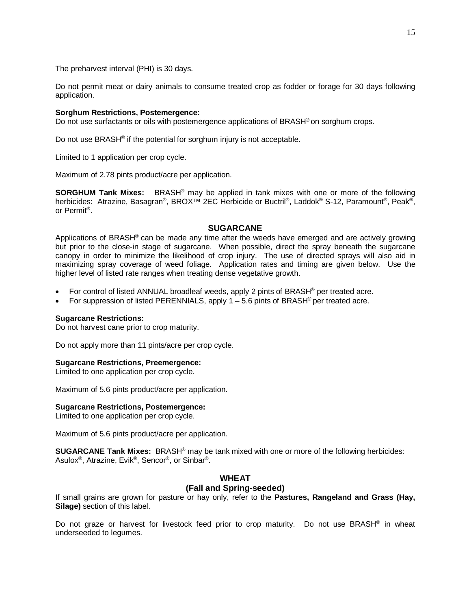The preharvest interval (PHI) is 30 days.

Do not permit meat or dairy animals to consume treated crop as fodder or forage for 30 days following application.

#### **Sorghum Restrictions, Postemergence:**

Do not use surfactants or oils with postemergence applications of BRASH<sup>®</sup> on sorghum crops.

Do not use BRASH<sup>®</sup> if the potential for sorghum injury is not acceptable.

Limited to 1 application per crop cycle.

Maximum of 2.78 pints product/acre per application.

**SORGHUM Tank Mixes:** BRASH® may be applied in tank mixes with one or more of the following herbicides: Atrazine, Basagran®, BROX<sup>™</sup> 2EC Herbicide or Buctril®, Laddok® S-12, Paramount®, Peak®, or Permit®.

## **SUGARCANE**

Applications of BRASH® can be made any time after the weeds have emerged and are actively growing but prior to the close-in stage of sugarcane. When possible, direct the spray beneath the sugarcane canopy in order to minimize the likelihood of crop injury. The use of directed sprays will also aid in maximizing spray coverage of weed foliage. Application rates and timing are given below. Use the higher level of listed rate ranges when treating dense vegetative growth.

- For control of listed ANNUAL broadleaf weeds, apply 2 pints of BRASH<sup>®</sup> per treated acre.
- For suppression of listed PERENNIALS, apply  $1 5.6$  pints of BRASH® per treated acre.

#### **Sugarcane Restrictions:**

Do not harvest cane prior to crop maturity.

Do not apply more than 11 pints/acre per crop cycle.

#### **Sugarcane Restrictions, Preemergence:**

Limited to one application per crop cycle.

Maximum of 5.6 pints product/acre per application.

#### **Sugarcane Restrictions, Postemergence:**

Limited to one application per crop cycle.

Maximum of 5.6 pints product/acre per application.

**SUGARCANE Tank Mixes:** BRASH® may be tank mixed with one or more of the following herbicides: Asulox®, Atrazine, Evik®, Sencor®, or Sinbar®.

## **WHEAT (Fall and Spring-seeded)**

If small grains are grown for pasture or hay only, refer to the **Pastures, Rangeland and Grass (Hay, Silage)** section of this label.

Do not graze or harvest for livestock feed prior to crop maturity. Do not use BRASH<sup>®</sup> in wheat underseeded to legumes.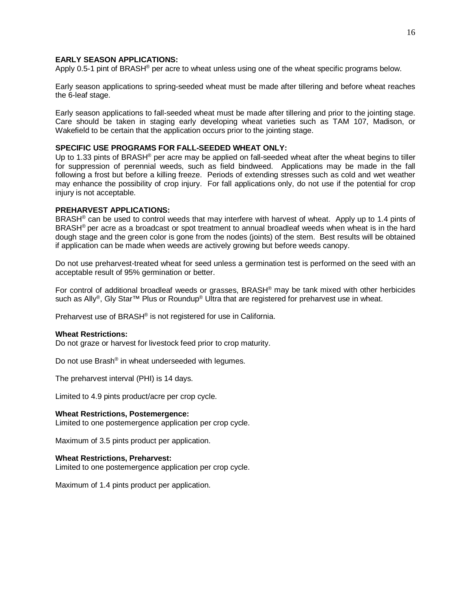## **EARLY SEASON APPLICATIONS:**

Apply 0.5-1 pint of BRASH® per acre to wheat unless using one of the wheat specific programs below.

Early season applications to spring-seeded wheat must be made after tillering and before wheat reaches the 6-leaf stage.

Early season applications to fall-seeded wheat must be made after tillering and prior to the jointing stage. Care should be taken in staging early developing wheat varieties such as TAM 107, Madison, or Wakefield to be certain that the application occurs prior to the jointing stage.

## **SPECIFIC USE PROGRAMS FOR FALL-SEEDED WHEAT ONLY:**

Up to 1.33 pints of BRASH<sup>®</sup> per acre may be applied on fall-seeded wheat after the wheat begins to tiller for suppression of perennial weeds, such as field bindweed. Applications may be made in the fall following a frost but before a killing freeze. Periods of extending stresses such as cold and wet weather may enhance the possibility of crop injury. For fall applications only, do not use if the potential for crop injury is not acceptable.

#### **PREHARVEST APPLICATIONS:**

BRASH<sup>®</sup> can be used to control weeds that may interfere with harvest of wheat. Apply up to 1.4 pints of BRASH® per acre as a broadcast or spot treatment to annual broadleaf weeds when wheat is in the hard dough stage and the green color is gone from the nodes (joints) of the stem. Best results will be obtained if application can be made when weeds are actively growing but before weeds canopy.

Do not use preharvest-treated wheat for seed unless a germination test is performed on the seed with an acceptable result of 95% germination or better.

For control of additional broadleaf weeds or grasses, BRASH® may be tank mixed with other herbicides such as Ally®, Gly Star™ Plus or Roundup® Ultra that are registered for preharvest use in wheat.

Preharvest use of BRASH® is not registered for use in California.

#### **Wheat Restrictions:**

Do not graze or harvest for livestock feed prior to crop maturity.

Do not use Brash® in wheat underseeded with legumes.

The preharvest interval (PHI) is 14 days.

Limited to 4.9 pints product/acre per crop cycle.

#### **Wheat Restrictions, Postemergence:**

Limited to one postemergence application per crop cycle.

Maximum of 3.5 pints product per application.

#### **Wheat Restrictions, Preharvest:**

Limited to one postemergence application per crop cycle.

Maximum of 1.4 pints product per application.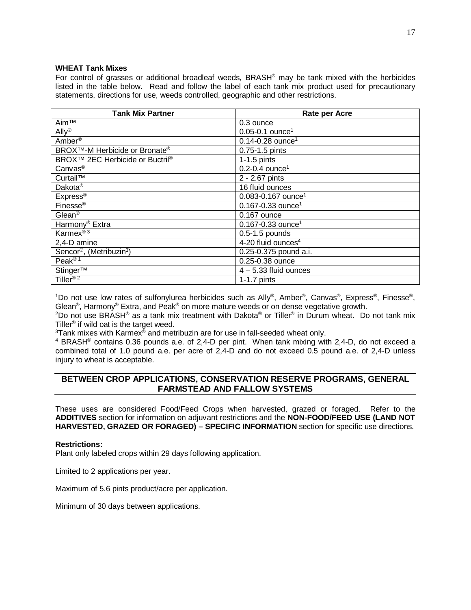#### **WHEAT Tank Mixes**

For control of grasses or additional broadleaf weeds, BRASH® may be tank mixed with the herbicides listed in the table below. Read and follow the label of each tank mix product used for precautionary statements, directions for use, weeds controlled, geographic and other restrictions.

| Tank Mix Partner                                        | <b>Rate per Acre</b>               |
|---------------------------------------------------------|------------------------------------|
| Aim™                                                    | 0.3 ounce                          |
| $\mathsf{Ally}^{\circledR}$                             | $0.05 - 0.1$ ounce <sup>1</sup>    |
| Amber <sup>®</sup>                                      | $0.14 - 0.28$ ounce <sup>1</sup>   |
| BROX <sup>™</sup> -M Herbicide or Bronate <sup>®</sup>  | 0.75-1.5 pints                     |
| BROX <sup>™</sup> 2EC Herbicide or Buctril <sup>®</sup> | $1-1.5$ pints                      |
| Canvas <sup>®</sup>                                     | $0.2 - 0.4$ ounce <sup>1</sup>     |
| Curtail™                                                | 2 - 2.67 pints                     |
| Dakota <sup>®</sup>                                     | 16 fluid ounces                    |
| Express <sup>®</sup>                                    | $0.083 - 0.167$ ounce <sup>1</sup> |
| Finesse <sup>®</sup>                                    | $0.167 - 0.33$ ounce <sup>1</sup>  |
| $Glean^@$                                               | 0.167 ounce                        |
| Harmony <sup>®</sup> Extra                              | $0.167 - 0.33$ ounce <sup>1</sup>  |
| Karmex <sup>®3</sup>                                    | 0.5-1.5 pounds                     |
| 2,4-D amine                                             | 4-20 fluid ounces <sup>4</sup>     |
| Sencor®, (Metribuzin <sup>3</sup> )                     | 0.25-0.375 pound a.i.              |
| Peak® <sup>1</sup>                                      | 0.25-0.38 ounce                    |
| Stinger™                                                | $4 - 5.33$ fluid ounces            |
| Tiller <sup>® 2</sup>                                   | $1-1.7$ pints                      |

1 Do not use low rates of sulfonylurea herbicides such as Ally®, Amber®, Canvas®, Express®, Finesse®, Glean®, Harmony® Extra, and Peak® on more mature weeds or on dense vegetative growth.

<sup>2</sup>Do not use BRASH<sup>®</sup> as a tank mix treatment with Dakota® or Tiller® in Durum wheat. Do not tank mix Tiller® if wild oat is the target weed.

 $^3$ Tank mixes with Karmex $^{\circledast}$  and metribuzin are for use in fall-seeded wheat only.

<sup>4</sup> BRASH® contains 0.36 pounds a.e. of 2,4-D per pint. When tank mixing with 2,4-D, do not exceed a combined total of 1.0 pound a.e. per acre of 2,4-D and do not exceed 0.5 pound a.e. of 2,4-D unless injury to wheat is acceptable.

## **BETWEEN CROP APPLICATIONS, CONSERVATION RESERVE PROGRAMS, GENERAL FARMSTEAD AND FALLOW SYSTEMS**

These uses are considered Food/Feed Crops when harvested, grazed or foraged. Refer to the **ADDITIVES** section for information on adjuvant restrictions and the **NON-FOOD/FEED USE (LAND NOT HARVESTED, GRAZED OR FORAGED) – SPECIFIC INFORMATION** section for specific use directions.

## **Restrictions:**

Plant only labeled crops within 29 days following application.

Limited to 2 applications per year.

Maximum of 5.6 pints product/acre per application.

Minimum of 30 days between applications.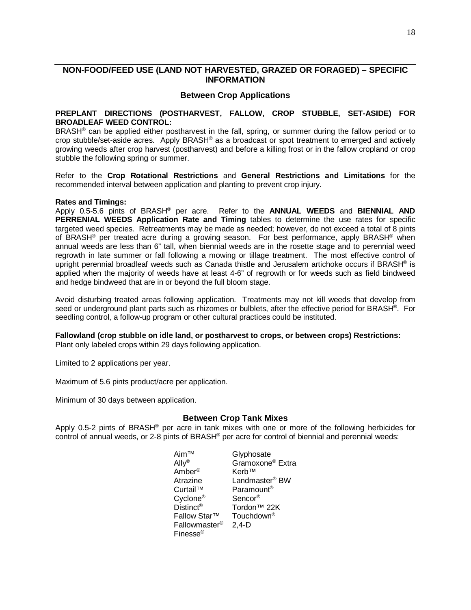## **NON-FOOD/FEED USE (LAND NOT HARVESTED, GRAZED OR FORAGED) – SPECIFIC INFORMATION**

## **Between Crop Applications**

#### **PREPLANT DIRECTIONS (POSTHARVEST, FALLOW, CROP STUBBLE, SET-ASIDE) FOR BROADLEAF WEED CONTROL:**

BRASH<sup>®</sup> can be applied either postharvest in the fall, spring, or summer during the fallow period or to crop stubble/set-aside acres. Apply BRASH® as a broadcast or spot treatment to emerged and actively growing weeds after crop harvest (postharvest) and before a killing frost or in the fallow cropland or crop stubble the following spring or summer.

Refer to the **Crop Rotational Restrictions** and **General Restrictions and Limitations** for the recommended interval between application and planting to prevent crop injury.

#### **Rates and Timings:**

Apply 0.5-5.6 pints of BRASH® per acre. Refer to the **ANNUAL WEEDS** and **BIENNIAL AND PERRENIAL WEEDS Application Rate and Timing** tables to determine the use rates for specific targeted weed species. Retreatments may be made as needed; however, do not exceed a total of 8 pints of BRASH<sup>®</sup> per treated acre during a growing season. For best performance, apply BRASH<sup>®</sup> when annual weeds are less than 6" tall, when biennial weeds are in the rosette stage and to perennial weed regrowth in late summer or fall following a mowing or tillage treatment. The most effective control of upright perennial broadleaf weeds such as Canada thistle and Jerusalem artichoke occurs if BRASH<sup>®</sup> is applied when the majority of weeds have at least 4-6" of regrowth or for weeds such as field bindweed and hedge bindweed that are in or beyond the full bloom stage.

Avoid disturbing treated areas following application. Treatments may not kill weeds that develop from seed or underground plant parts such as rhizomes or bulblets, after the effective period for BRASH®. For seedling control, a follow-up program or other cultural practices could be instituted.

## **Fallowland (crop stubble on idle land, or postharvest to crops, or between crops) Restrictions:**

Plant only labeled crops within 29 days following application.

Limited to 2 applications per year.

Maximum of 5.6 pints product/acre per application.

Minimum of 30 days between application.

## **Between Crop Tank Mixes**

Apply 0.5-2 pints of BRASH® per acre in tank mixes with one or more of the following herbicides for control of annual weeds, or 2-8 pints of BRASH<sup>®</sup> per acre for control of biennial and perennial weeds:

> Aim™ Glyphosate<br>Ally® Gramoxone Gramoxone<sup>®</sup> Extra<br>Kerb™ Amber<sup>®</sup> Atrazine Landmaster® BW Curtail™ Paramount® Cyclone® Sencor® Distinct<sup>®</sup> Tordon™ 22K<br>Fallow Star™ Touchdown<sup>®</sup> Fallow Star<sup>™</sup> Touch<br>Fallowmaster<sup>®</sup> 2,4-D Fallowmaster<sup>®</sup> Finesse®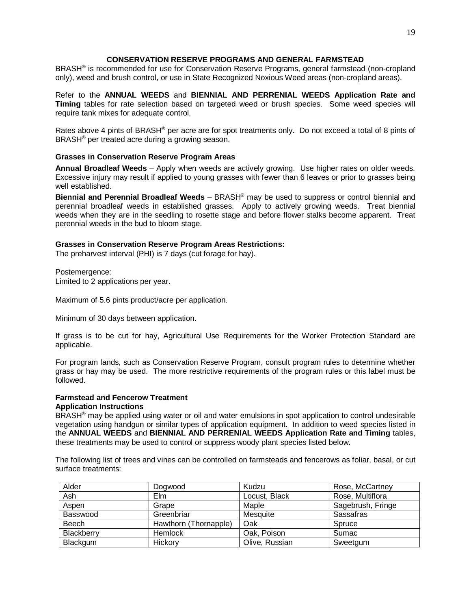## **CONSERVATION RESERVE PROGRAMS AND GENERAL FARMSTEAD**

BRASH® is recommended for use for Conservation Reserve Programs, general farmstead (non-cropland only), weed and brush control, or use in State Recognized Noxious Weed areas (non-cropland areas).

Refer to the **ANNUAL WEEDS** and **BIENNIAL AND PERRENIAL WEEDS Application Rate and Timing** tables for rate selection based on targeted weed or brush species. Some weed species will require tank mixes for adequate control.

Rates above 4 pints of BRASH® per acre are for spot treatments only. Do not exceed a total of 8 pints of BRASH® per treated acre during a growing season.

#### **Grasses in Conservation Reserve Program Areas**

**Annual Broadleaf Weeds** – Apply when weeds are actively growing. Use higher rates on older weeds. Excessive injury may result if applied to young grasses with fewer than 6 leaves or prior to grasses being well established.

**Biennial and Perennial Broadleaf Weeds** – BRASH® may be used to suppress or control biennial and perennial broadleaf weeds in established grasses. Apply to actively growing weeds. Treat biennial weeds when they are in the seedling to rosette stage and before flower stalks become apparent. Treat perennial weeds in the bud to bloom stage.

#### **Grasses in Conservation Reserve Program Areas Restrictions:**

The preharvest interval (PHI) is 7 days (cut forage for hay).

Postemergence: Limited to 2 applications per year.

Maximum of 5.6 pints product/acre per application.

Minimum of 30 days between application.

If grass is to be cut for hay, Agricultural Use Requirements for the Worker Protection Standard are applicable.

For program lands, such as Conservation Reserve Program, consult program rules to determine whether grass or hay may be used. The more restrictive requirements of the program rules or this label must be followed.

## **Farmstead and Fencerow Treatment**

## **Application Instructions**

BRASH® may be applied using water or oil and water emulsions in spot application to control undesirable vegetation using handgun or similar types of application equipment. In addition to weed species listed in the **ANNUAL WEEDS** and **BIENNIAL AND PERRENIAL WEEDS Application Rate and Timing** tables, these treatments may be used to control or suppress woody plant species listed below.

The following list of trees and vines can be controlled on farmsteads and fencerows as foliar, basal, or cut surface treatments:

| Alder      | Dogwood               | Kudzu          | Rose, McCartney   |
|------------|-----------------------|----------------|-------------------|
| Ash        | Elm                   | Locust, Black  | Rose, Multiflora  |
| Aspen      | Grape                 | Maple          | Sagebrush, Fringe |
| Basswood   | Greenbriar            | Mesquite       | Sassafras         |
| Beech      | Hawthorn (Thornapple) | Oak            | Spruce            |
| Blackberry | Hemlock               | Oak, Poison    | Sumac             |
| Blackgum   | Hickory               | Olive, Russian | Sweetgum          |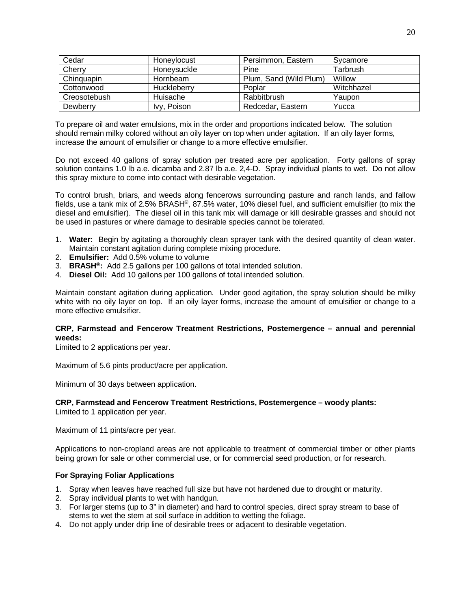| Cedar        | Honeylocust | Persimmon, Eastern     | Sycamore   |
|--------------|-------------|------------------------|------------|
| Cherry       | Honeysuckle | Pine                   | Tarbrush   |
| Chinguapin   | Hornbeam    | Plum, Sand (Wild Plum) | Willow     |
| Cottonwood   | Huckleberry | Poplar                 | Witchhazel |
| Creosotebush | Huisache    | Rabbitbrush            | Yaupon     |
| Dewberry     | Ivy, Poison | Redcedar, Eastern      | Yucca      |

To prepare oil and water emulsions, mix in the order and proportions indicated below. The solution should remain milky colored without an oily layer on top when under agitation. If an oily layer forms, increase the amount of emulsifier or change to a more effective emulsifier.

Do not exceed 40 gallons of spray solution per treated acre per application. Forty gallons of spray solution contains 1.0 lb a.e. dicamba and 2.87 lb a.e. 2,4-D. Spray individual plants to wet. Do not allow this spray mixture to come into contact with desirable vegetation.

To control brush, briars, and weeds along fencerows surrounding pasture and ranch lands, and fallow fields, use a tank mix of 2.5% BRASH®, 87.5% water, 10% diesel fuel, and sufficient emulsifier (to mix the diesel and emulsifier). The diesel oil in this tank mix will damage or kill desirable grasses and should not be used in pastures or where damage to desirable species cannot be tolerated.

- 1. **Water:** Begin by agitating a thoroughly clean sprayer tank with the desired quantity of clean water. Maintain constant agitation during complete mixing procedure.
- 2. **Emulsifier:** Add 0.5% volume to volume
- 3. **BRASH®:** Add 2.5 gallons per 100 gallons of total intended solution.
- 4. **Diesel Oil:** Add 10 gallons per 100 gallons of total intended solution.

Maintain constant agitation during application. Under good agitation, the spray solution should be milky white with no oily layer on top. If an oily layer forms, increase the amount of emulsifier or change to a more effective emulsifier.

## **CRP, Farmstead and Fencerow Treatment Restrictions, Postemergence – annual and perennial weeds:**

Limited to 2 applications per year.

Maximum of 5.6 pints product/acre per application.

Minimum of 30 days between application.

## **CRP, Farmstead and Fencerow Treatment Restrictions, Postemergence – woody plants:**

Limited to 1 application per year.

Maximum of 11 pints/acre per year.

Applications to non-cropland areas are not applicable to treatment of commercial timber or other plants being grown for sale or other commercial use, or for commercial seed production, or for research.

## **For Spraying Foliar Applications**

- 1. Spray when leaves have reached full size but have not hardened due to drought or maturity.
- 2. Spray individual plants to wet with handgun.
- 3. For larger stems (up to 3" in diameter) and hard to control species, direct spray stream to base of stems to wet the stem at soil surface in addition to wetting the foliage.
- 4. Do not apply under drip line of desirable trees or adjacent to desirable vegetation.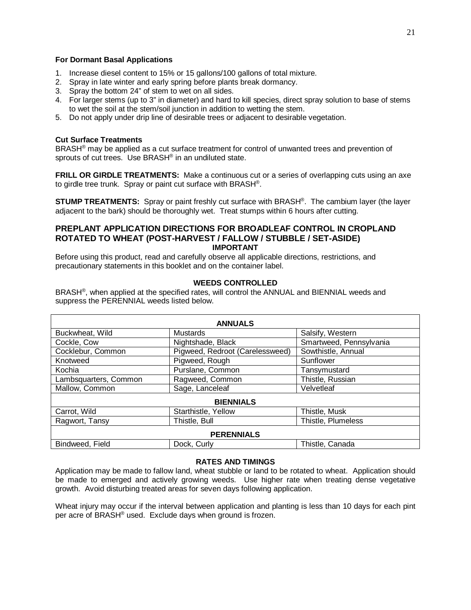#### **For Dormant Basal Applications**

- 1. Increase diesel content to 15% or 15 gallons/100 gallons of total mixture.
- 2. Spray in late winter and early spring before plants break dormancy.
- 3. Spray the bottom 24" of stem to wet on all sides.
- 4. For larger stems (up to 3" in diameter) and hard to kill species, direct spray solution to base of stems to wet the soil at the stem/soil junction in addition to wetting the stem.
- 5. Do not apply under drip line of desirable trees or adjacent to desirable vegetation.

## **Cut Surface Treatments**

BRASH® may be applied as a cut surface treatment for control of unwanted trees and prevention of sprouts of cut trees. Use BRASH<sup>®</sup> in an undiluted state.

**FRILL OR GIRDLE TREATMENTS:** Make a continuous cut or a series of overlapping cuts using an axe to girdle tree trunk. Spray or paint cut surface with BRASH®.

**STUMP TREATMENTS:** Spray or paint freshly cut surface with BRASH®. The cambium layer (the layer adjacent to the bark) should be thoroughly wet. Treat stumps within 6 hours after cutting.

## **PREPLANT APPLICATION DIRECTIONS FOR BROADLEAF CONTROL IN CROPLAND ROTATED TO WHEAT (POST-HARVEST / FALLOW / STUBBLE / SET-ASIDE) IMPORTANT**

Before using this product, read and carefully observe all applicable directions, restrictions, and precautionary statements in this booklet and on the container label.

## **WEEDS CONTROLLED**

BRASH®, when applied at the specified rates, will control the ANNUAL and BIENNIAL weeds and suppress the PERENNIAL weeds listed below.

| <b>ANNUALS</b>        |                                 |                         |  |  |  |
|-----------------------|---------------------------------|-------------------------|--|--|--|
| Buckwheat, Wild       | <b>Mustards</b>                 | Salsify, Western        |  |  |  |
| Cockle, Cow           | Nightshade, Black               | Smartweed, Pennsylvania |  |  |  |
| Cocklebur, Common     | Pigweed, Redroot (Carelessweed) | Sowthistle, Annual      |  |  |  |
| Knotweed              | Pigweed, Rough                  | Sunflower               |  |  |  |
| Kochia                | Purslane, Common                | Tansymustard            |  |  |  |
| Lambsquarters, Common | Ragweed, Common                 | Thistle, Russian        |  |  |  |
| Mallow, Common        | Sage, Lanceleaf                 | Velvetleaf              |  |  |  |
| <b>BIENNIALS</b>      |                                 |                         |  |  |  |
| Carrot, Wild          | Starthistle, Yellow             | Thistle, Musk           |  |  |  |
| Ragwort, Tansy        | Thistle, Bull                   | Thistle, Plumeless      |  |  |  |
| <b>PERENNIALS</b>     |                                 |                         |  |  |  |
| Bindweed, Field       | Dock, Curly                     | Thistle, Canada         |  |  |  |

## **RATES AND TIMINGS**

Application may be made to fallow land, wheat stubble or land to be rotated to wheat. Application should be made to emerged and actively growing weeds. Use higher rate when treating dense vegetative growth. Avoid disturbing treated areas for seven days following application.

Wheat injury may occur if the interval between application and planting is less than 10 days for each pint per acre of BRASH® used. Exclude days when ground is frozen.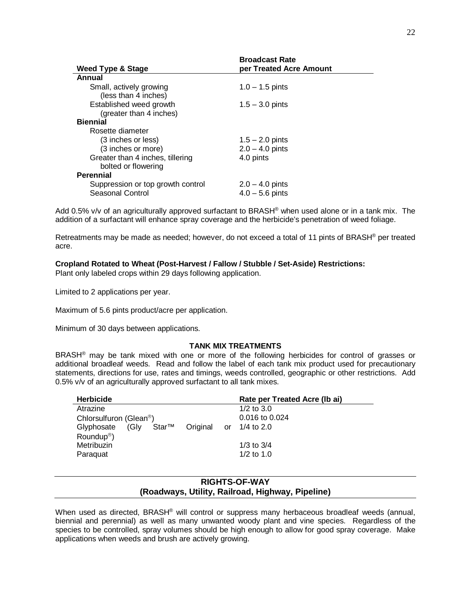|                                   | <b>Broadcast Rate</b>   |  |
|-----------------------------------|-------------------------|--|
| Weed Type & Stage                 | per Treated Acre Amount |  |
| Annual                            |                         |  |
| Small, actively growing           | $1.0 - 1.5$ pints       |  |
| (less than 4 inches)              |                         |  |
| Established weed growth           | $1.5 - 3.0$ pints       |  |
| (greater than 4 inches)           |                         |  |
| <b>Biennial</b>                   |                         |  |
| Rosette diameter                  |                         |  |
| (3 inches or less)                | $1.5 - 2.0$ pints       |  |
| (3 inches or more)                | $2.0 - 4.0$ pints       |  |
| Greater than 4 inches, tillering  | 4.0 pints               |  |
| bolted or flowering               |                         |  |
| <b>Perennial</b>                  |                         |  |
| Suppression or top growth control | $2.0 - 4.0$ pints       |  |
| <b>Seasonal Control</b>           | $4.0 - 5.6$ pints       |  |

Add 0.5% v/v of an agriculturally approved surfactant to BRASH<sup>®</sup> when used alone or in a tank mix. The addition of a surfactant will enhance spray coverage and the herbicide's penetration of weed foliage.

Retreatments may be made as needed; however, do not exceed a total of 11 pints of BRASH® per treated acre.

## **Cropland Rotated to Wheat (Post-Harvest / Fallow / Stubble / Set-Aside) Restrictions:**

Plant only labeled crops within 29 days following application.

Limited to 2 applications per year.

Maximum of 5.6 pints product/acre per application.

Minimum of 30 days between applications.

#### **TANK MIX TREATMENTS**

BRASH<sup>®</sup> may be tank mixed with one or more of the following herbicides for control of grasses or additional broadleaf weeds. Read and follow the label of each tank mix product used for precautionary statements, directions for use, rates and timings, weeds controlled, geographic or other restrictions. Add 0.5% v/v of an agriculturally approved surfactant to all tank mixes.

| <b>Herbicide</b>                        | Rate per Treated Acre (lb ai) |
|-----------------------------------------|-------------------------------|
| Atrazine                                | $1/2$ to $3.0$                |
| Chlorsulfuron (Glean <sup>®</sup> )     | $0.016$ to $0.024$            |
| Star™<br>Original<br>(Glv<br>Glyphosate | 1/4 to $2.0$<br>or            |
| Roundup <sup>®</sup> )                  |                               |
| Metribuzin                              | 1/3 to $3/4$                  |
| Paraguat                                | $1/2$ to $1.0$                |

## **RIGHTS-OF-WAY (Roadways, Utility, Railroad, Highway, Pipeline)**

When used as directed, BRASH® will control or suppress many herbaceous broadleaf weeds (annual, biennial and perennial) as well as many unwanted woody plant and vine species. Regardless of the species to be controlled, spray volumes should be high enough to allow for good spray coverage. Make applications when weeds and brush are actively growing.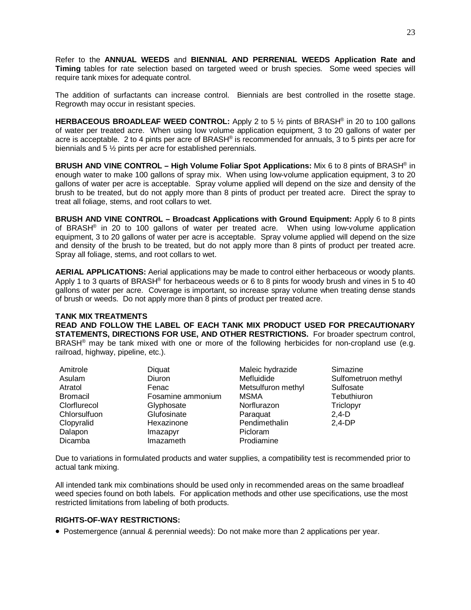Refer to the **ANNUAL WEEDS** and **BIENNIAL AND PERRENIAL WEEDS Application Rate and Timing** tables for rate selection based on targeted weed or brush species. Some weed species will require tank mixes for adequate control.

The addition of surfactants can increase control. Biennials are best controlled in the rosette stage. Regrowth may occur in resistant species.

**HERBACEOUS BROADLEAF WEED CONTROL:** Apply 2 to 5  $\frac{1}{2}$  pints of BRASH<sup>®</sup> in 20 to 100 gallons of water per treated acre. When using low volume application equipment, 3 to 20 gallons of water per acre is acceptable. 2 to 4 pints per acre of BRASH® is recommended for annuals, 3 to 5 pints per acre for biennials and 5 ½ pints per acre for established perennials.

**BRUSH AND VINE CONTROL – High Volume Foliar Spot Applications:** Mix 6 to 8 pints of BRASH® in enough water to make 100 gallons of spray mix. When using low-volume application equipment, 3 to 20 gallons of water per acre is acceptable. Spray volume applied will depend on the size and density of the brush to be treated, but do not apply more than 8 pints of product per treated acre. Direct the spray to treat all foliage, stems, and root collars to wet.

**BRUSH AND VINE CONTROL – Broadcast Applications with Ground Equipment:** Apply 6 to 8 pints of BRASH® in 20 to 100 gallons of water per treated acre. When using low-volume application equipment, 3 to 20 gallons of water per acre is acceptable. Spray volume applied will depend on the size and density of the brush to be treated, but do not apply more than 8 pints of product per treated acre. Spray all foliage, stems, and root collars to wet.

**AERIAL APPLICATIONS:** Aerial applications may be made to control either herbaceous or woody plants. Apply 1 to 3 quarts of BRASH<sup>®</sup> for herbaceous weeds or 6 to 8 pints for woody brush and vines in 5 to 40 gallons of water per acre. Coverage is important, so increase spray volume when treating dense stands of brush or weeds. Do not apply more than 8 pints of product per treated acre.

## **TANK MIX TREATMENTS**

**READ AND FOLLOW THE LABEL OF EACH TANK MIX PRODUCT USED FOR PRECAUTIONARY STATEMENTS, DIRECTIONS FOR USE, AND OTHER RESTRICTIONS.** For broader spectrum control, BRASH<sup>®</sup> may be tank mixed with one or more of the following herbicides for non-cropland use (e.g. railroad, highway, pipeline, etc.).

| Amitrole        | Diquat            | Maleic hydrazide   | Simazine            |
|-----------------|-------------------|--------------------|---------------------|
| Asulam          | Diuron            | Mefluidide         | Sulfometruon methyl |
| Atratol         | Fenac             | Metsulfuron methyl | Sulfosate           |
| <b>Bromacil</b> | Fosamine ammonium | <b>MSMA</b>        | Tebuthiuron         |
| Clorflurecol    | Glyphosate        | Norflurazon        | Triclopyr           |
| Chlorsulfuon    | Glufosinate       | Paraquat           | $2,4-D$             |
| Clopyralid      | Hexazinone        | Pendimethalin      | $2,4-DP$            |
| Dalapon         | Imazapyr          | Picloram           |                     |
| Dicamba         | Imazameth         | Prodiamine         |                     |

Due to variations in formulated products and water supplies, a compatibility test is recommended prior to actual tank mixing.

All intended tank mix combinations should be used only in recommended areas on the same broadleaf weed species found on both labels. For application methods and other use specifications, use the most restricted limitations from labeling of both products.

## **RIGHTS-OF-WAY RESTRICTIONS:**

• Postemergence (annual & perennial weeds): Do not make more than 2 applications per year.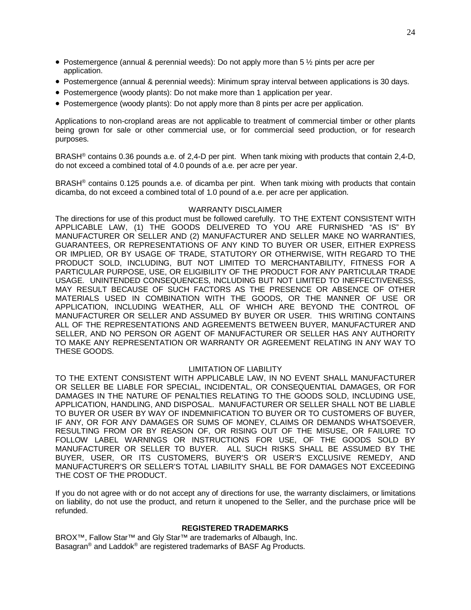- Postemergence (annual & perennial weeds): Do not apply more than  $5\frac{1}{2}$  pints per acre per application.
- Postemergence (annual & perennial weeds): Minimum spray interval between applications is 30 days.
- Postemergence (woody plants): Do not make more than 1 application per year.
- Postemergence (woody plants): Do not apply more than 8 pints per acre per application.

Applications to non-cropland areas are not applicable to treatment of commercial timber or other plants being grown for sale or other commercial use, or for commercial seed production, or for research purposes.

BRASH® contains 0.36 pounds a.e. of 2,4-D per pint. When tank mixing with products that contain 2,4-D, do not exceed a combined total of 4.0 pounds of a.e. per acre per year.

BRASH® contains 0.125 pounds a.e. of dicamba per pint. When tank mixing with products that contain dicamba, do not exceed a combined total of 1.0 pound of a.e. per acre per application.

#### WARRANTY DISCLAIMER

The directions for use of this product must be followed carefully. TO THE EXTENT CONSISTENT WITH APPLICABLE LAW, (1) THE GOODS DELIVERED TO YOU ARE FURNISHED "AS IS" BY MANUFACTURER OR SELLER AND (2) MANUFACTURER AND SELLER MAKE NO WARRANTIES, GUARANTEES, OR REPRESENTATIONS OF ANY KIND TO BUYER OR USER, EITHER EXPRESS OR IMPLIED, OR BY USAGE OF TRADE, STATUTORY OR OTHERWISE, WITH REGARD TO THE PRODUCT SOLD, INCLUDING, BUT NOT LIMITED TO MERCHANTABILITY, FITNESS FOR A PARTICULAR PURPOSE, USE, OR ELIGIBILITY OF THE PRODUCT FOR ANY PARTICULAR TRADE USAGE. UNINTENDED CONSEQUENCES, INCLUDING BUT NOT LIMITED TO INEFFECTIVENESS, MAY RESULT BECAUSE OF SUCH FACTORS AS THE PRESENCE OR ABSENCE OF OTHER MATERIALS USED IN COMBINATION WITH THE GOODS, OR THE MANNER OF USE OR APPLICATION, INCLUDING WEATHER, ALL OF WHICH ARE BEYOND THE CONTROL OF MANUFACTURER OR SELLER AND ASSUMED BY BUYER OR USER. THIS WRITING CONTAINS ALL OF THE REPRESENTATIONS AND AGREEMENTS BETWEEN BUYER, MANUFACTURER AND SELLER, AND NO PERSON OR AGENT OF MANUFACTURER OR SELLER HAS ANY AUTHORITY TO MAKE ANY REPRESENTATION OR WARRANTY OR AGREEMENT RELATING IN ANY WAY TO THESE GOODS.

## LIMITATION OF LIABILITY

TO THE EXTENT CONSISTENT WITH APPLICABLE LAW, IN NO EVENT SHALL MANUFACTURER OR SELLER BE LIABLE FOR SPECIAL, INCIDENTAL, OR CONSEQUENTIAL DAMAGES, OR FOR DAMAGES IN THE NATURE OF PENALTIES RELATING TO THE GOODS SOLD, INCLUDING USE, APPLICATION, HANDLING, AND DISPOSAL. MANUFACTURER OR SELLER SHALL NOT BE LIABLE TO BUYER OR USER BY WAY OF INDEMNIFICATION TO BUYER OR TO CUSTOMERS OF BUYER, IF ANY, OR FOR ANY DAMAGES OR SUMS OF MONEY, CLAIMS OR DEMANDS WHATSOEVER, RESULTING FROM OR BY REASON OF, OR RISING OUT OF THE MISUSE, OR FAILURE TO FOLLOW LABEL WARNINGS OR INSTRUCTIONS FOR USE, OF THE GOODS SOLD BY MANUFACTURER OR SELLER TO BUYER. ALL SUCH RISKS SHALL BE ASSUMED BY THE BUYER, USER, OR ITS CUSTOMERS, BUYER'S OR USER'S EXCLUSIVE REMEDY, AND MANUFACTURER'S OR SELLER'S TOTAL LIABILITY SHALL BE FOR DAMAGES NOT EXCEEDING THE COST OF THE PRODUCT.

If you do not agree with or do not accept any of directions for use, the warranty disclaimers, or limitations on liability, do not use the product, and return it unopened to the Seller, and the purchase price will be refunded.

#### **REGISTERED TRADEMARKS**

BROX™, Fallow Star™ and Gly Star™ are trademarks of Albaugh, Inc. Basagran® and Laddok® are registered trademarks of BASF Ag Products.